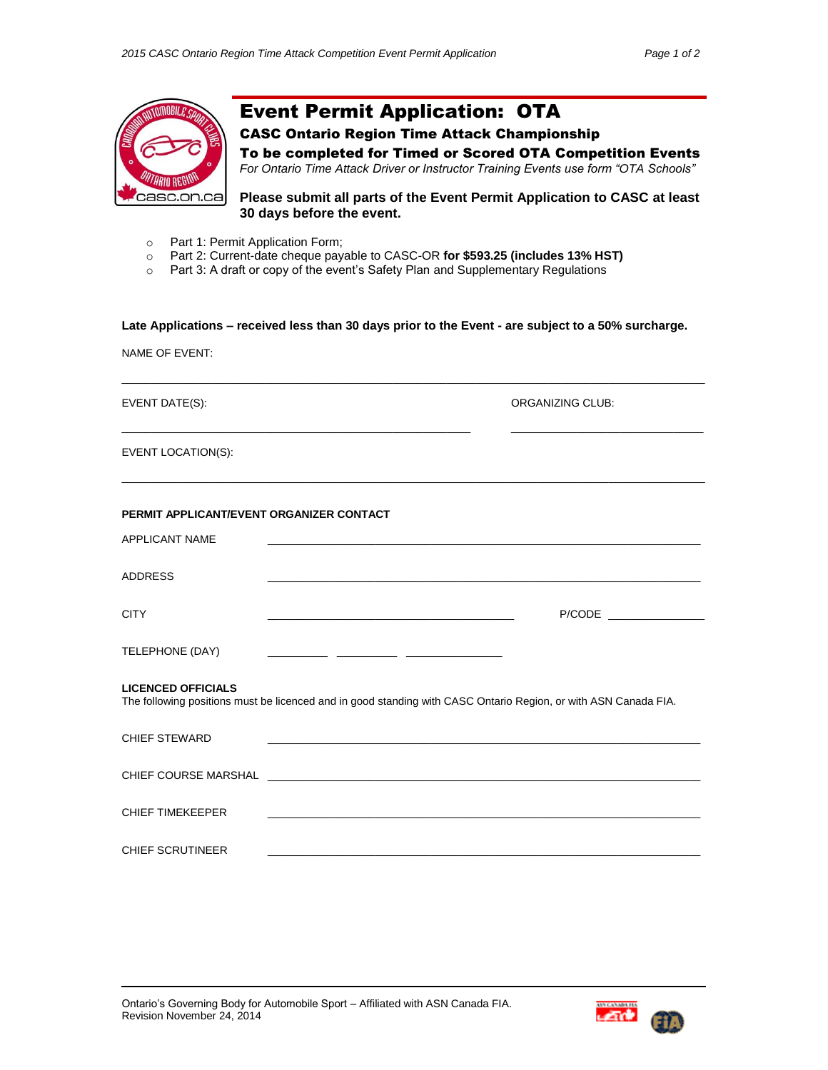

NAME OF EVENT:

# Event Permit Application: OTA

# CASC Ontario Region Time Attack Championship

To be completed for Timed or Scored OTA Competition Events *For Ontario Time Attack Driver or Instructor Training Events use form "OTA Schools"*

**Please submit all parts of the Event Permit Application to CASC at least 30 days before the event.**

- o Part 1: Permit Application Form;
- o Part 2: Current-date cheque payable to CASC-OR **for \$593.25 (includes 13% HST)**
- o Part 3: A draft or copy of the event's Safety Plan and Supplementary Regulations

## **Late Applications – received less than 30 days prior to the Event - are subject to a 50% surcharge.**

| EVENT DATE(S):                           |                                                                                                                 | ORGANIZING CLUB: |
|------------------------------------------|-----------------------------------------------------------------------------------------------------------------|------------------|
| EVENT LOCATION(S):                       |                                                                                                                 |                  |
| PERMIT APPLICANT/EVENT ORGANIZER CONTACT |                                                                                                                 |                  |
| <b>APPLICANT NAME</b>                    |                                                                                                                 |                  |
| <b>ADDRESS</b>                           |                                                                                                                 |                  |
| <b>CITY</b>                              |                                                                                                                 | P/CODE           |
| TELEPHONE (DAY)                          |                                                                                                                 |                  |
| <b>LICENCED OFFICIALS</b>                | The following positions must be licenced and in good standing with CASC Ontario Region, or with ASN Canada FIA. |                  |
| <b>CHIEF STEWARD</b>                     |                                                                                                                 |                  |
|                                          |                                                                                                                 |                  |
| <b>CHIEF TIMEKEEPER</b>                  |                                                                                                                 |                  |
| <b>CHIEF SCRUTINEER</b>                  |                                                                                                                 |                  |